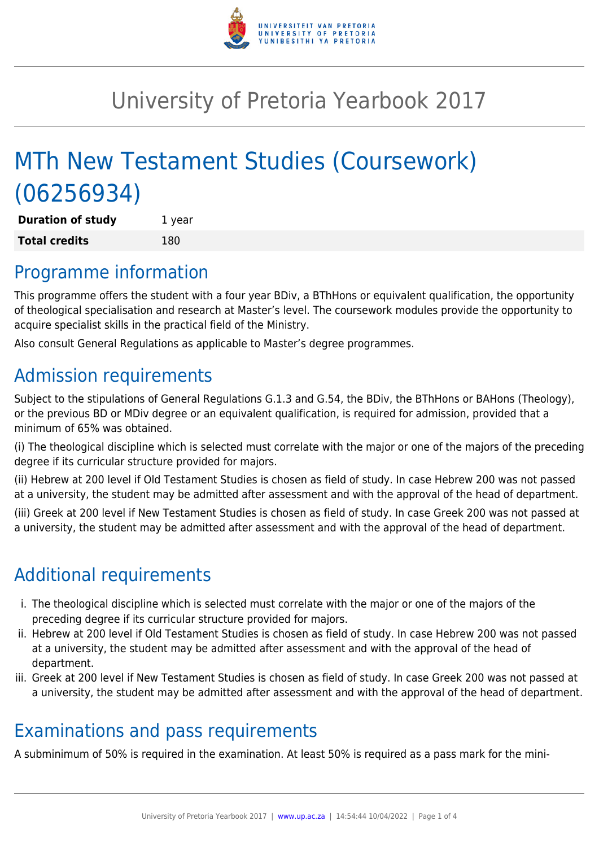

# University of Pretoria Yearbook 2017

# MTh New Testament Studies (Coursework) (06256934)

**Duration of study** 1 year **Total credits** 180

## Programme information

This programme offers the student with a four year BDiv, a BThHons or equivalent qualification, the opportunity of theological specialisation and research at Master's level. The coursework modules provide the opportunity to acquire specialist skills in the practical field of the Ministry.

Also consult General Regulations as applicable to Master's degree programmes.

# Admission requirements

Subject to the stipulations of General Regulations G.1.3 and G.54, the BDiv, the BThHons or BAHons (Theology), or the previous BD or MDiv degree or an equivalent qualification, is required for admission, provided that a minimum of 65% was obtained.

(i) The theological discipline which is selected must correlate with the major or one of the majors of the preceding degree if its curricular structure provided for majors.

(ii) Hebrew at 200 level if Old Testament Studies is chosen as field of study. In case Hebrew 200 was not passed at a university, the student may be admitted after assessment and with the approval of the head of department.

(iii) Greek at 200 level if New Testament Studies is chosen as field of study. In case Greek 200 was not passed at a university, the student may be admitted after assessment and with the approval of the head of department.

# Additional requirements

- i. The theological discipline which is selected must correlate with the major or one of the majors of the preceding degree if its curricular structure provided for majors.
- ii. Hebrew at 200 level if Old Testament Studies is chosen as field of study. In case Hebrew 200 was not passed at a university, the student may be admitted after assessment and with the approval of the head of department.
- iii. Greek at 200 level if New Testament Studies is chosen as field of study. In case Greek 200 was not passed at a university, the student may be admitted after assessment and with the approval of the head of department.

## Examinations and pass requirements

A subminimum of 50% is required in the examination. At least 50% is required as a pass mark for the mini-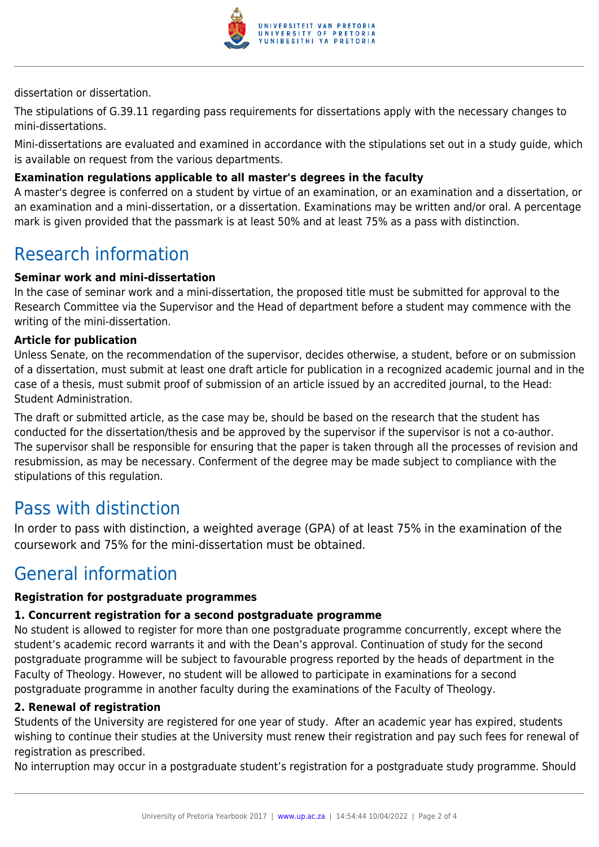

dissertation or dissertation.

The stipulations of G.39.11 regarding pass requirements for dissertations apply with the necessary changes to mini-dissertations.

Mini-dissertations are evaluated and examined in accordance with the stipulations set out in a study guide, which is available on request from the various departments.

### **Examination regulations applicable to all master's degrees in the faculty**

A master's degree is conferred on a student by virtue of an examination, or an examination and a dissertation, or an examination and a mini-dissertation, or a dissertation. Examinations may be written and/or oral. A percentage mark is given provided that the passmark is at least 50% and at least 75% as a pass with distinction.

### Research information

### **Seminar work and mini-dissertation**

In the case of seminar work and a mini-dissertation, the proposed title must be submitted for approval to the Research Committee via the Supervisor and the Head of department before a student may commence with the writing of the mini-dissertation.

#### **Article for publication**

Unless Senate, on the recommendation of the supervisor, decides otherwise, a student, before or on submission of a dissertation, must submit at least one draft article for publication in a recognized academic journal and in the case of a thesis, must submit proof of submission of an article issued by an accredited journal, to the Head: Student Administration.

The draft or submitted article, as the case may be, should be based on the research that the student has conducted for the dissertation/thesis and be approved by the supervisor if the supervisor is not a co-author. The supervisor shall be responsible for ensuring that the paper is taken through all the processes of revision and resubmission, as may be necessary. Conferment of the degree may be made subject to compliance with the stipulations of this regulation.

### Pass with distinction

In order to pass with distinction, a weighted average (GPA) of at least 75% in the examination of the coursework and 75% for the mini-dissertation must be obtained.

### General information

#### **Registration for postgraduate programmes**

#### **1. Concurrent registration for a second postgraduate programme**

No student is allowed to register for more than one postgraduate programme concurrently, except where the student's academic record warrants it and with the Dean's approval. Continuation of study for the second postgraduate programme will be subject to favourable progress reported by the heads of department in the Faculty of Theology. However, no student will be allowed to participate in examinations for a second postgraduate programme in another faculty during the examinations of the Faculty of Theology.

#### **2. Renewal of registration**

Students of the University are registered for one year of study. After an academic year has expired, students wishing to continue their studies at the University must renew their registration and pay such fees for renewal of registration as prescribed.

No interruption may occur in a postgraduate student's registration for a postgraduate study programme. Should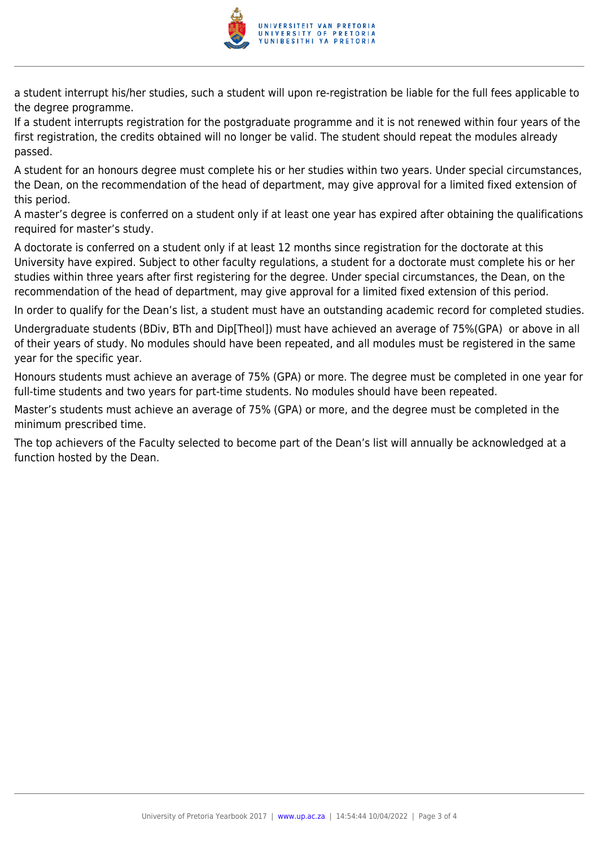

a student interrupt his/her studies, such a student will upon re-registration be liable for the full fees applicable to the degree programme.

If a student interrupts registration for the postgraduate programme and it is not renewed within four years of the first registration, the credits obtained will no longer be valid. The student should repeat the modules already passed.

A student for an honours degree must complete his or her studies within two years. Under special circumstances, the Dean, on the recommendation of the head of department, may give approval for a limited fixed extension of this period.

A master's degree is conferred on a student only if at least one year has expired after obtaining the qualifications required for master's study.

A doctorate is conferred on a student only if at least 12 months since registration for the doctorate at this University have expired. Subject to other faculty regulations, a student for a doctorate must complete his or her studies within three years after first registering for the degree. Under special circumstances, the Dean, on the recommendation of the head of department, may give approval for a limited fixed extension of this period.

In order to qualify for the Dean's list, a student must have an outstanding academic record for completed studies.

Undergraduate students (BDiv, BTh and Dip[Theol]) must have achieved an average of 75%(GPA) or above in all of their years of study. No modules should have been repeated, and all modules must be registered in the same year for the specific year.

Honours students must achieve an average of 75% (GPA) or more. The degree must be completed in one year for full-time students and two years for part-time students. No modules should have been repeated.

Master's students must achieve an average of 75% (GPA) or more, and the degree must be completed in the minimum prescribed time.

The top achievers of the Faculty selected to become part of the Dean's list will annually be acknowledged at a function hosted by the Dean.